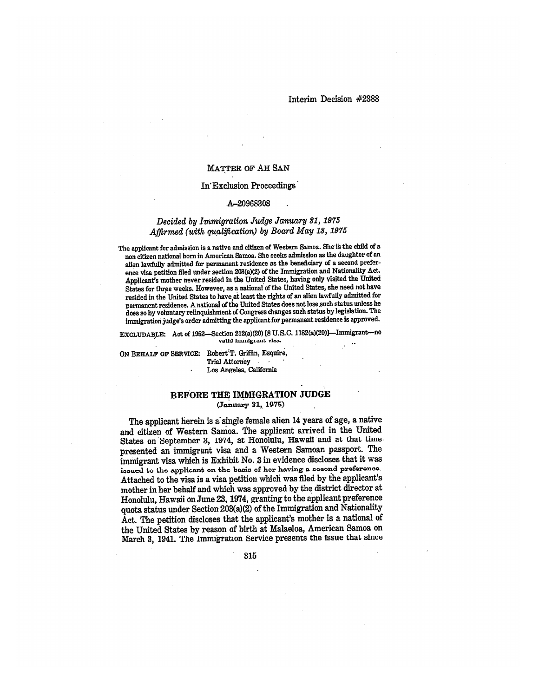#### MATTER OF AH SAN

### In' Exclusion Proceedings

#### A-20968308

# *Decided by Immigration Judge January 31, 1975 Affirmed (with qualification) by Board May 13, 1975*

The applicant for admission is a native and citizen of Western Samoa. She is the child of a non citizen national born in American Samoa. She seeks admission as the daughter of an alien lawfully admitted for permanent residence as the beneficiary of a second preference visa petition filed under section 203(a)(2) of the Immigration and Nationality Act. Applicant's mother never resided in the United States, having only visited the United States for three weeks. However, as a national of the United States, she need not have resided in the United States to have,at least the rights of an alien lawfully admitted for permanent residence. A national of the United States does not lose.such status unless he does so by voluntary relinquishnient of Congress changes such status by legislation. The immigration judge's order admitting the applicant for permanent residence is approved.

EXCLUDABLE: Act of 1952—Section 212(a)(20) [8 U.S.C. 1182(a)(20)]—Immigrantvalid immigrant visa.

ON BEHALF OF SERVICE: Robert'T. Griffin, Esquire, Trial Attorney Los Angeles, California

## BEFORE THE IMMIGRATION JUDGE (January 31, 1975)

The applicant herein is a single female alien 14 years of age, a native and citizen of Western Samoa. The applicant arrived in the United States on September 3, 1974, at Honolulu, Hawaii and at that time presented an immigrant visa and a Western Samoan passport. The immigrant visa which is Exhibit No. 3 in evidence discloses that it was issued to the applicant on the basis of her having a second preference. Attached to the visa is a visa petition which was filed by the applicant's mother in her behalf and which was approved by the district director at Honolulu, Hawaii on June 23, 1974, granting to the applicant preference quota status under Section 203(a)(2) of the Immigration and Nationality Act. The petition discloses that the applicant's mother is a national of the United States by reason of birth at Malaeloa, American Samoa on March 8, 1941. The Immigration Service presents the Issue that since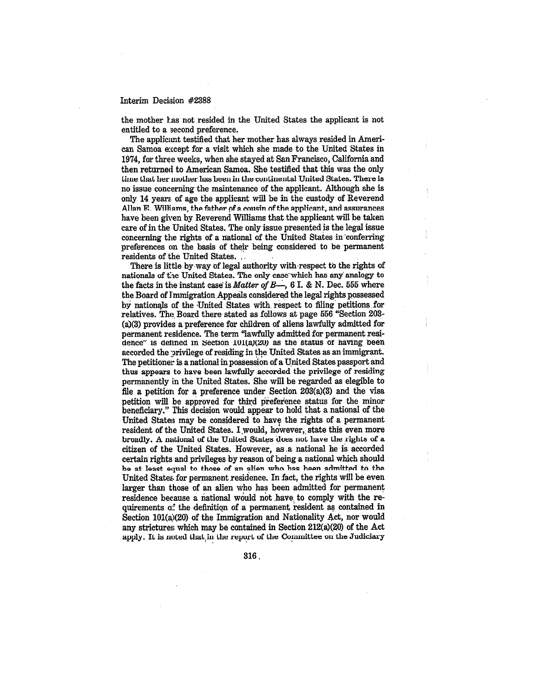the mother Las not resided in the United States the applicant is not entitled to a second preference.

The applicant testified that her mother has always resided in American Samoa except for a visit which she made to the United States in 1974, for three weeks, when she stayed at San Francisco, California and then returned to American Samoa. She testified that this was the only time that her mother has been in the continental United States. There is no issue concerning the maintenance of the applicant. Although she is only 14 years. of age the applicant will be in the custody of Reverend Allan E. Williams, the father of a cousin of the applicant, and assurances have been given by Reverend Williams that the applicant will be taken care of in the United States. The only issue presented is the legal issue concerning the rights of a national of the United States in 'conferring preferences on the basis of their being considered to be permanent residents of the United States. • .

There is little by way of legal authority with respect to the rights of nationals of the United States. The only case which has any analogy to the facts in the instant case is *Matter of B*—, 6 I. & N. Dec. 555 where the Board of Immigration Appeals considered the legal rights possessed by nationals of the United States with respect to filing petitions for relatives. The, Board there stated as follows at page 556 "Section 203- (a)(3) provides a preference for children of aliens lawfully admitted for permanent residence. The term "lawfully admitted for permanent residence" is defined in Section 101(a)(20) as the status of having been accorded the privilege of residing in the United States as an immigrant. The petitioner is a national in possession of a United States passport and thus appears to have been lawfully accorded the privilege of residing permanently in the United States. She will be regarded as elegible to file a petition for a preference under Section 203(a)(3) and the visa petition will be approved for third preference status for the minor beneficiary." This decision would appear to hold that a national of the United States may be considered to have the rights of a permanent resident of the United States. I would, however, state this even more broadly. A national of the United States does not have the rights of a citizen of the United States. However, as ,a national he is accorded certain rights and privileges by reason of being a national which should be at least equal to those of an alien who has *been* admitted to the United States. for permanent residence. In fact, the rights will be even larger than those of an alien who has been admitted for permanent residence because a national would not have. to comply with the requirements of the definition of a permanent resident as contained in Section 101(a)(20) of the Immigration and Nationality Act, nor would any strictures which may be contained in Section 212(a)(20) of the Act apply. IL is noted that,in the report of the Committee on the Judiciary

316,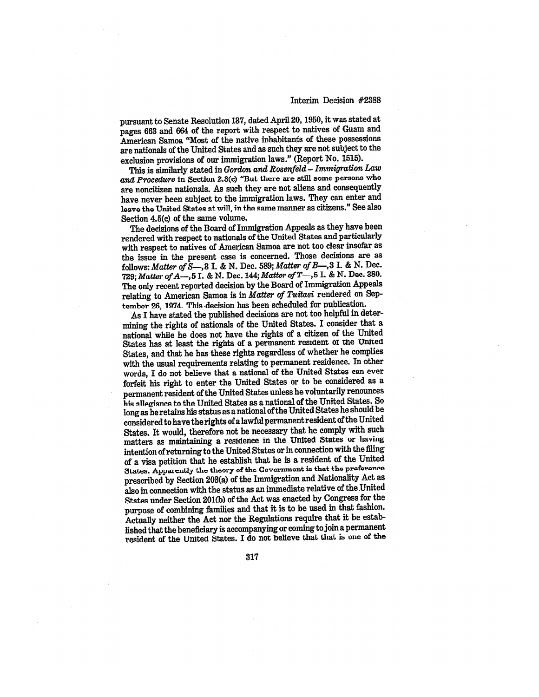pursuant to Senate Resolution 137, dated April 20, 1950, it was stated at pages 663 and 664 of the report with respect to natives of Guam and American Samoa "Most of the native inhabitants of these possessions are nationals of the United States and as such they *are* not subject to the exclusion provisions of our immigration laws." (Report No. 1515).

This is similarly stated in *Gordon and Rosenfeld – Immigration Law and Procedure* in Section 2.8(c) "But there are still some persons who are noncitizen nationals. As such they are not aliens and consequently have never been subject to the immigration laws. They can enter and leave the United States at will, in the same manner as citizens." See also Section 4.5(c) of the same volume.

The decisions of the Board of Immigration Appeals as they have been rendered with respect to nationals of the United States and particularly with respect to natives of American Samoa are not too clear insofar as the issue in the present case is concerned. Those decisions are as follows: *Matter of S—,3* **L &** N. Dee. 589; *Matter of B—,3* I. & N. Dec. 729; *Matter of A—,5* I. & N. Dec. 144; *Matter of T—,5* I. & N. Dec. 380. The only recent reported decision by the Board of Immigration Appeals relating to American Samoa is in *Matter of Tuitasi* rendered on September 26, 1974. This decision has been scheduled for publication.

As I have stated the published decisions are not too helpful in determining the rights of nationals of the United States. I consider that a national while he does not have the rights of a citizen of the United States has at least the rights of a permanent resident of the United States, and that he has these rights regardless of whether he complies with the usual requirements relating to permanent residence. In other words, I do not believe that a national of the United States can ever forfeit his right to enter the United States or to be considered as a permanent resident of the United States *unless* he voluntarily renounces his allegiance to the United States as a national of the United States. So long as he retains his status as a national of the United States he should be considered to have the rights of a lawful permanent resident of the United States. It would, therefore not be necessary that he comply with such matters as maintaining a residence in the United States or having intention of returning to the United States or in connection with the filing of a visa petition that he establish that he is a resident of the United States. Apparently the theory of the Government is that the preference prescribed by Section 203(a) of the Immigration and Nationality Act as also in connection with the status as an immediate relative of the United States under Section 201(b) of the Act was enacted by Congress for the purpose of combining families and that it is to be used in that fashion. Actually neither the Act nor the Regulations require that it be established that the beneficiary is accompanying or coming to join a permanent resident of the United States. I do not believe that that is one of the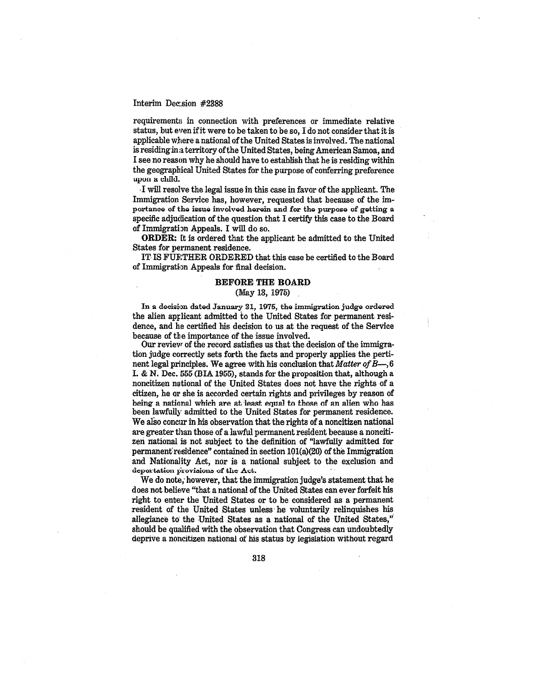requirements in connection with preferences or immediate relative status, but even if it were to be taken to be so, I do not consider that it is applicable where a national of the United States is involved. The national is residing in a territory of the United States, being American Samoa, and I *see* no reason why he should have to establish that he is residing within the geographical United States for the purpose of conferring preference upon a child.

will resolve the legal issue in this case in favor of the applicant. The Immigration Service has, however, requested that because of the importance of the issue involved herein and for the purpose of getting a specific adjudication of the question that I certify this case to the Board of Immigration Appeals. I will do so.

**ORDER:** It is ordered that the applicant be admitted to the United States for permanent residence.

IT IS FURTHER ORDERED that this case be certified to the Board of Immigration Appeals for final decision.

#### **BEFORE THE BOARD**

## (May 13, 1975)

In a *decision* dated January 31, 1975, the immigration judge ordered the alien applicant admitted to the United States for permanent residence, and he certified his decision to us at the request of the Service because of the importance of the issue involved.

Our review of the record satisfies us that the decision of the immigration judge correctly sets forth the facts and properly applies the pertinent legal principles. We agree with his conclusion that *Matter of B—,* 6 I. & N. Dec. 555 (BIA 1955), stands for the proposition that, although a noncitizen national of the United States does not have the rights of a citizen, he or she is accorded certain rights and privileges by reason of being a national which are at least equal to those of an alien who has been lawfully admitted to the United States for permanent residence. We also concur in his observation that the rights of a noncitizen national are greater than those of a lawful permanent resident because a noncitizen national is not subject to the definition of "lawfully admitted for permanent residence" contained in section  $101(a)(20)$  of the Immigration and Nationality Act, nor is a national subject to the exclusion and deportation provisions of the Act.

We do note; however, that the immigration judge's statement that he does not believe "that a national of the United States can ever forfeit his right to enter the United States or to be considered as a permanent resident of the United States unless he voluntarily relinquishes his allegiance to the United States as a national of the United States," should be qualified with the observation that Congress can undoubtedly deprive a noneitizen national of his status by legislation without regard